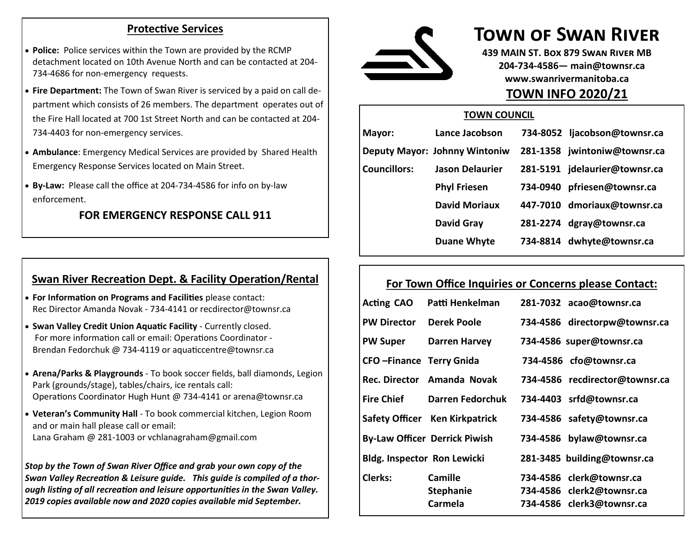#### **Protective Services**

- **Police:** Police services within the Town are provided by the RCMP detachment located on 10th Avenue North and can be contacted at 204- 734-4686 for non-emergency requests.
- **Fire Department:** The Town of Swan River is serviced by a paid on call department which consists of 26 members. The department operates out of the Fire Hall located at 700 1st Street North and can be contacted at 204- 734-4403 for non-emergency services.
- **Ambulance**: Emergency Medical Services are provided by Shared Health Emergency Response Services located on Main Street.
- **By-Law:** Please call the office at 204-734-4586 for info on by-law enforcement.

#### **FOR EMERGENCY RESPONSE CALL 911**

### **Swan River Recreation Dept. & Facility Operation/Rental**

- **For Information on Programs and Facilities** please contact: Rec Director Amanda Novak - 734-4141 or recdirector@townsr.ca
- **Swan Valley Credit Union Aquatic Facility**  Currently closed. For more information call or email: Operations Coordinator - Brendan Fedorchuk @ 734-4119 or aquaticcentre@townsr.ca
- **Arena/Parks & Playgrounds**  To book soccer fields, ball diamonds, Legion Park (grounds/stage), tables/chairs, ice rentals call: Operations Coordinator Hugh Hunt @ 734-4141 or arena@townsr.ca
- **Veteran's Community Hall**  To book commercial kitchen, Legion Room and or main hall please call or email: Lana Graham @ 281-1003 or vchlanagraham@gmail.com

*Stop by the Town of Swan River Office and grab your own copy of the Swan Valley Recreation & Leisure guide. This guide is compiled of a thorough listing of all recreation and leisure opportunities in the Swan Valley. 2019 copies available now and 2020 copies available mid September.* 



# **Town of Swan River**

**439 MAIN ST. Box 879 Swan River MB 204-734-4586— main@townsr.ca www.swanrivermanitoba.ca TOWN INFO 2020/21**

#### **TOWN COUNCIL**

| Mayor:       | Lance Jacobson                |          | 734-8052 ljacobson@townsr.ca  |
|--------------|-------------------------------|----------|-------------------------------|
|              | Deputy Mayor: Johnny Wintoniw |          | 281-1358 jwintoniw@townsr.ca  |
| Councillors: | <b>Jason Delaurier</b>        |          | 281-5191 jdelaurier@townsr.ca |
|              | <b>Phyl Friesen</b>           | 734-0940 | pfriesen@townsr.ca            |
|              | <b>David Moriaux</b>          |          | 447-7010 dmoriaux@townsr.ca   |
|              | <b>David Gray</b>             |          | 281-2274 dgray@townsr.ca      |
|              | <b>Duane Whyte</b>            | 734-8814 | dwhyte@townsr.ca              |

#### **For Town Office Inquiries or Concerns please Contact:**

| <b>Acting CAO</b>                  | Patti Henkelman                               | 281-7032 acao@townsr.ca                                                            |
|------------------------------------|-----------------------------------------------|------------------------------------------------------------------------------------|
| <b>PW Director</b>                 | <b>Derek Poole</b>                            | 734-4586 directorpw@townsr.ca                                                      |
| <b>PW Super</b>                    | <b>Darren Harvey</b>                          | 734-4586 super@townsr.ca                                                           |
| <b>CFO-Finance Terry Gnida</b>     |                                               | 734-4586 cfo@townsr.ca                                                             |
|                                    | Rec. Director Amanda Novak                    | 734-4586 recdirector@townsr.ca                                                     |
| Fire Chief                         | Darren Fedorchuk                              | 734-4403 srfd@townsr.ca                                                            |
|                                    | Safety Officer Ken Kirkpatrick                | 734-4586 safety@townsr.ca                                                          |
|                                    | <b>By-Law Officer Derrick Piwish</b>          | 734-4586 bylaw@townsr.ca                                                           |
| <b>Bldg. Inspector Ron Lewicki</b> |                                               | 281-3485 building@townsr.ca                                                        |
| <b>Clerks:</b>                     | <b>Camille</b><br><b>Stephanie</b><br>Carmela | 734-4586 clerk@townsr.ca<br>734-4586 clerk2@townsr.ca<br>734-4586 clerk3@townsr.ca |